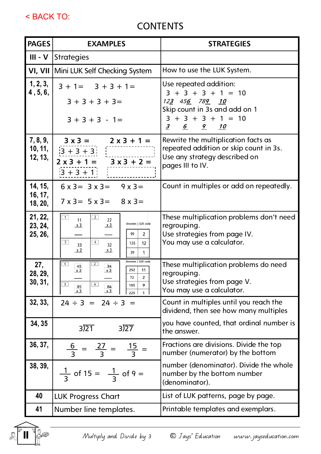< BACK TO:

## **CONTENTS**

| <b>PAGES</b>                   | <b>EXAMPLES</b>                                                                                                                                                                                                              | <b>STRATEGIES</b>                                                                                                                                     |  |  |
|--------------------------------|------------------------------------------------------------------------------------------------------------------------------------------------------------------------------------------------------------------------------|-------------------------------------------------------------------------------------------------------------------------------------------------------|--|--|
| $III - V$                      | Strategies                                                                                                                                                                                                                   |                                                                                                                                                       |  |  |
|                                | VI, VII Mini LUK Self Checking System                                                                                                                                                                                        | How to use the LUK System.                                                                                                                            |  |  |
| 1, 2, 3,<br>4, 5, 6,           | $3 + 1 = 3 + 3 + 1 =$<br>$3 + 3 + 3 + 3 =$<br>$3 + 3 + 3 - 1 =$                                                                                                                                                              | Use repeated addition:<br>$3 + 3 + 3 + 1 = 10$<br>123 456 789 10<br>Skip count in 3s and add on 1<br>$3 + 3 + 3 + 1 = 10$<br>6 9 10<br>$\overline{3}$ |  |  |
| 7, 8, 9,<br>10, 11,<br>12, 13, | $3x3 = 2x3 + 1 =$<br>$\begin{array}{ l l }\n\hline\n3+3+3 \\ \hline\n2x3+1 = 3x3+2 =\n\end{array}$<br>$3 + 3 + 1$                                                                                                            | Rewrite the multiplication facts as<br>repeated addition or skip count in 3s.<br>Use any strategy described on<br>pages III to IV.                    |  |  |
| 14, 15,<br>16, 17,<br>18, 20,  | $6x3 = 3x3 = 9x3 =$<br>$7 \times 3 = 5 \times 3 = 8 \times 3 =$                                                                                                                                                              | Count in multiples or add on repeatedly.                                                                                                              |  |  |
| 21, 22,<br>23, 24,<br>25, 26,  | $\boxed{1}$<br>$\boxed{2}$<br>11<br>22<br>Answers   LUK code<br>x3<br>x3<br>99<br>2<br>$\boxed{3}$<br>$\boxed{4}$<br>12<br>126<br>33<br>32<br>$x_3$<br>x3<br>39<br>1                                                         | These multiplication problems don't need<br>regrouping.<br>Use strategies from page IV.<br>You may use a calculator.                                  |  |  |
| 27,<br>28, 29,<br>30, 31,      | Answers   LUK code<br>$\boxed{2}$<br>$\overline{1}$<br>45<br>34<br>252<br>x3<br>x3<br>11<br>72<br>$\overline{2}$<br>$\overline{\overline{\mathbf{3}}}$<br>$\boxed{4}$<br>9<br>105<br>85<br>84<br>x3<br>x <sub>3</sub><br>225 | These multiplication problems do need<br>regrouping.<br>Use strategies from page V.<br>You may use a calculator.                                      |  |  |
| 32, 33,                        | $24 \div 3 = 24 \div 3 =$                                                                                                                                                                                                    | Count in multiples until you reach the<br>dividend, then see how many multiples                                                                       |  |  |
| 34, 35                         | 3)21<br>3)27                                                                                                                                                                                                                 | you have counted, that ordinal number is<br>the answer.                                                                                               |  |  |
| 36, 37,                        | $\frac{6}{3} = \frac{27}{3} = \frac{15}{3} =$                                                                                                                                                                                | Fractions are divisions. Divide the top<br>number (numerator) by the bottom                                                                           |  |  |
| 38, 39,                        | $\frac{1}{3}$ of 15 = $\frac{1}{3}$ of 9 =                                                                                                                                                                                   | number (denominator). Divide the whole<br>number by the bottom number<br>(denominator).                                                               |  |  |
| 40                             | <b>LUK Progress Chart</b>                                                                                                                                                                                                    | List of LUK patterns, page by page.                                                                                                                   |  |  |
| 41                             | Number line templates.                                                                                                                                                                                                       | Printable templates and exemplars.                                                                                                                    |  |  |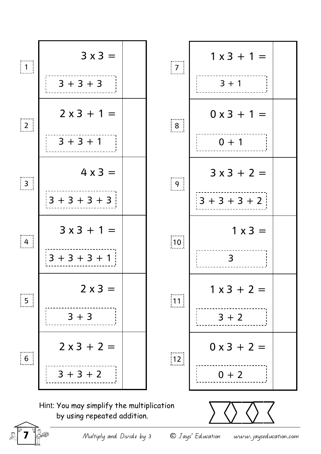

 $\begin{array}{lll} \mathbb{R} \end{array}$  Multiply and Divide by 3  $\quad \quad \mathbb{O}$  Jays' Education www. jayseducation.com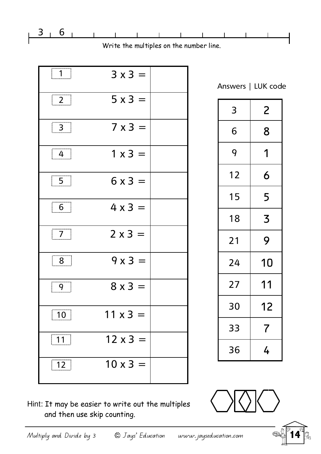

Write the multiples on the number line.

| $\left  \begin{array}{c} 1 \end{array} \right $       | $3 \times 3 =$  |  |
|-------------------------------------------------------|-----------------|--|
| $\boxed{2}$                                           | $5 \times 3 =$  |  |
| $\begin{array}{ c c } \hline 3 \\ \hline \end{array}$ | $7 \times 3 =$  |  |
| $\boxed{4}$                                           | $1 \times 3 =$  |  |
| $\boxed{5}$                                           | $6x3 =$         |  |
| $\boxed{6}$                                           | $4 \times 3 =$  |  |
| $\boxed{7}$                                           | $2 \times 3 =$  |  |
| $\boxed{8}$                                           | $9x3 =$         |  |
| $\boxed{9}$                                           | $8 \times 3 =$  |  |
| $\boxed{10}$                                          | $11 \times 3 =$ |  |
| $\boxed{11}$                                          | $12 \times 3 =$ |  |
| $\boxed{12}$                                          | $10 \times 3 =$ |  |

Answers | LUK code

| 3  | 2                        |  |  |
|----|--------------------------|--|--|
| 6  | 8                        |  |  |
| 9  | 1                        |  |  |
| 12 | 6                        |  |  |
| 15 | 5                        |  |  |
| 18 | 3                        |  |  |
| 21 | 9                        |  |  |
| 24 | 10                       |  |  |
| 27 | 11                       |  |  |
| 30 | 12                       |  |  |
| 33 | $\overline{\mathcal{L}}$ |  |  |
| 36 | 4                        |  |  |



Hint: It may be easier to write out the multiples and then use skip counting.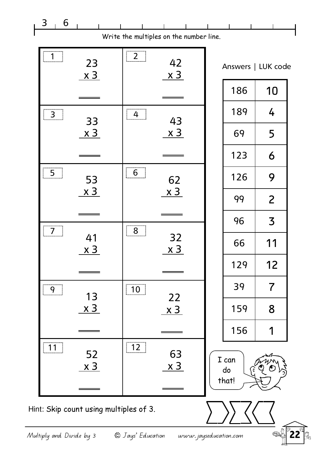| 3<br>6               |                                        |                                                      |                                         |                      |                          |
|----------------------|----------------------------------------|------------------------------------------------------|-----------------------------------------|----------------------|--------------------------|
|                      |                                        |                                                      | Write the multiples on the number line. |                      |                          |
| $\lfloor .1 \rfloor$ | 23<br><u>x 3</u>                       | $\boxed{2}$                                          | 42<br><u>x 3</u>                        |                      | Answers   LUK code       |
|                      |                                        |                                                      |                                         | 186                  | 10                       |
| $\boxed{3}$          | 33                                     | $\begin{array}{ c c } \hline 4 & \hline \end{array}$ | 43                                      | 189                  | 4                        |
|                      | <u>x 3</u>                             |                                                      | <u>x 3</u>                              | 69                   | 5                        |
|                      |                                        |                                                      |                                         | 123                  | 6                        |
| 5                    | 53                                     | $6 \nightharpoonup$                                  | 62                                      | 126                  | 9                        |
|                      | <u>x 3</u>                             |                                                      | <u>x 3</u>                              | 99                   | $\overline{2}$           |
|                      |                                        |                                                      |                                         | 96                   | $\overline{\mathsf{3}}$  |
|                      | 41<br><u>x 3</u>                       | 8 <sup>1</sup>                                       | 32<br><u>x 3</u>                        | 66                   | 11                       |
|                      |                                        |                                                      |                                         | 129                  | 12                       |
| 9                    | 13                                     | $\boxed{10}$                                         |                                         | 39                   | $\overline{\mathcal{L}}$ |
|                      | <u>x 3</u>                             |                                                      | 22<br><u>x 3</u>                        | 159                  | 8                        |
|                      |                                        |                                                      |                                         | 156                  |                          |
| 11                   | 52<br><u>x 3</u>                       | $\boxed{12}$                                         | 63<br><u>x 3</u>                        | I can<br>do<br>that! |                          |
|                      | Hint: Skip count using multiples of 3. |                                                      |                                         |                      |                          |

Multiply and Divide by 3  $\circledcirc$  Jays' Education www.jayseducation.com  $\circledast$  22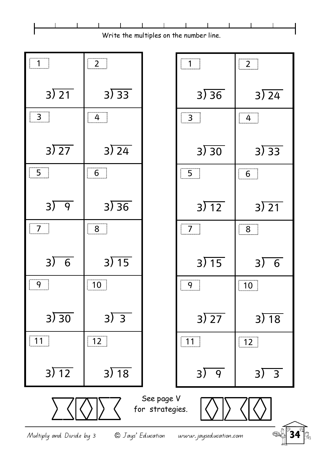

Multiply and Divide by 3  $\bullet$  Days' Education www.jayseducation.com  $\bullet$   $\bullet$  34